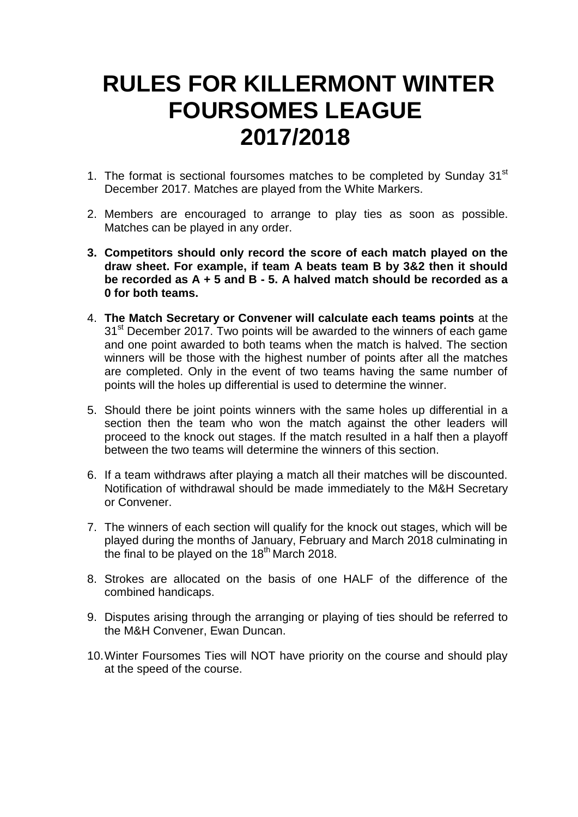## **RULES FOR KILLERMONT WINTER FOURSOMES LEAGUE 2017/2018**

- 1. The format is sectional foursomes matches to be completed by Sunday  $31<sup>st</sup>$ December 2017. Matches are played from the White Markers.
- 2. Members are encouraged to arrange to play ties as soon as possible. Matches can be played in any order.
- **3. Competitors should only record the score of each match played on the draw sheet. For example, if team A beats team B by 3&2 then it should be recorded as A + 5 and B - 5. A halved match should be recorded as a 0 for both teams.**
- 4. **The Match Secretary or Convener will calculate each teams points** at the 31<sup>st</sup> December 2017. Two points will be awarded to the winners of each game and one point awarded to both teams when the match is halved. The section winners will be those with the highest number of points after all the matches are completed. Only in the event of two teams having the same number of points will the holes up differential is used to determine the winner.
- 5. Should there be joint points winners with the same holes up differential in a section then the team who won the match against the other leaders will proceed to the knock out stages. If the match resulted in a half then a playoff between the two teams will determine the winners of this section.
- 6. If a team withdraws after playing a match all their matches will be discounted. Notification of withdrawal should be made immediately to the M&H Secretary or Convener.
- 7. The winners of each section will qualify for the knock out stages, which will be played during the months of January, February and March 2018 culminating in the final to be played on the 18th March 2018.
- 8. Strokes are allocated on the basis of one HALF of the difference of the combined handicaps.
- 9. Disputes arising through the arranging or playing of ties should be referred to the M&H Convener, Ewan Duncan.
- 10.Winter Foursomes Ties will NOT have priority on the course and should play at the speed of the course.